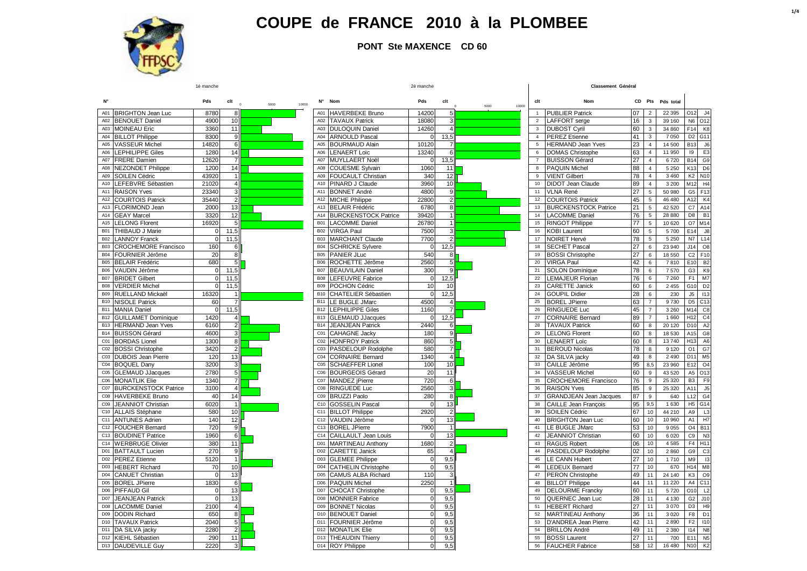

**PONT Ste MAXENCE CD 60**

|                 |                                           | 1è manche    |                |               |                 |                                            | 2è manche   |                  |               | Classement Genera |                                                      |                 |                  |                   |                 |                                   |
|-----------------|-------------------------------------------|--------------|----------------|---------------|-----------------|--------------------------------------------|-------------|------------------|---------------|-------------------|------------------------------------------------------|-----------------|------------------|-------------------|-----------------|-----------------------------------|
| N°              |                                           | Pds          | clt            | 5000<br>10000 | N۰              | Nom                                        | Pds         | clt              | 5000<br>10000 | clt               | Nom                                                  |                 |                  | CD Pts Pds total  |                 |                                   |
|                 | A01 BRIGHTON Jean Luc                     | 8780         | 8              |               |                 | A01 HAVERBEKE Bruno                        | 14200       | 5                |               | $\overline{1}$    | <b>PUBLIER Patrick</b>                               | 07              | $\overline{2}$   | 22 395            | 012             | J <sub>4</sub>                    |
|                 | A02 BENOUET Daniel                        | 490C         | 10             |               | A02             | <b>TAVAUX Patrick</b>                      | 18080       | 3                |               | 2                 | LAFFORT serge                                        | 16              | $\mathbf{3}$     | 39 160            | N6              | O <sub>12</sub>                   |
|                 | A03 MOINEAU Eric                          | 3360         | 11             |               |                 | A03 DULOQUIN Daniel                        | 14260       |                  |               | $\mathbf{3}$      | <b>DUBOST Cyril</b>                                  | 60              | 3                | 34 860            | F14             | K <sub>8</sub>                    |
|                 | A04 BILLOT Philippe                       | <b>8300</b>  | 9              |               | A04             | <b>ARNOULD Pascal</b>                      | $\Omega$    | 13,5             |               | $\overline{4}$    | <b>PEREZ Etienne</b>                                 | 41              | 3                | 7 0 5 0           | D <sub>2</sub>  | G11                               |
| A05             | <b>VASSEUR Michel</b>                     | 14820        | 6              |               | A05             | <b>BOURMAUD Alain</b>                      | 10120       |                  |               | 5                 | <b>HERMAND Jean Yves</b>                             | 23              | $\overline{4}$   | 14 500            | B13             | J6                                |
| A06             | <b>LEPHILIPPE Giles</b>                   | 1280         | 14             |               | A06             | <b>LENAERT Loïc</b>                        | 13240       | 6                |               | 6                 | <b>DOMAS Christophe</b>                              | 63              | $\overline{4}$   | 11 950            | 19              | E <sub>3</sub>                    |
|                 | A07 FRERE Damien                          | 12620        | $\overline{7}$ |               |                 | A07 MUYLLAERT Noël                         | $\Omega$    | 13,5             |               | $\overline{7}$    | <b>BUISSON Gérard</b>                                | 27              | $\overline{4}$   | 6720              | <b>B14</b>      | G <sub>9</sub>                    |
|                 | A08 NEZONDET Philippe                     | 1200         | 14             |               | A08             | <b>COUESME Sylvain</b>                     | 1060        | 11               |               | 8                 | <b>PAQUIN Michel</b>                                 | 88              | $\overline{4}$   | 5 2 5 0           | K <sub>13</sub> | D <sub>6</sub>                    |
| A09             | <b>SOILEN Cédric</b>                      | 43920        | 1              |               |                 | A09 FOUCAULT Christian                     | 340         | 12               |               | 9                 | <b>VIENT Gilbert</b>                                 | 78              | $\overline{4}$   | 3 4 6 0           | K2              | N <sub>10</sub>                   |
|                 | A10 LEFEBVRE Sébastien                    | 21020        | $\overline{4}$ |               |                 | A10 PINARD J Claude                        | 3960        | 10               |               | 10                | <b>DIDOT Jean Claude</b>                             | 89              | $\overline{4}$   | 3 2 0 0           | M12             | H <sub>4</sub>                    |
| A11             | <b>RAISON Yves</b>                        | 23340        | 3              |               |                 | A11 BONNET André                           | 4800        | $\boldsymbol{9}$ |               | 11                | <b>VLNA René</b>                                     | $\overline{27}$ | 5                | 50 980            | G <sub>5</sub>  | F <sub>13</sub>                   |
| A12             | <b>COURTOIS Patrick</b>                   | 35440        | $\mathbf{2}$   |               |                 | A12 MICHE Philippe                         | 22800       | $\overline{2}$   |               | 12                | <b>COURTOIS Patrick</b>                              | 45              | 5                | 46 480            | A12             | K4                                |
| A13             | <b>FLORIMOND Jean</b>                     | 2000         | 13             |               | A13             | <b>BELAIR Frédéric</b>                     | 6780        | 8                |               | 13                | <b>BURCKENSTOCK Patrice</b>                          | 21              | $\sqrt{5}$       | 42 520            | C7              | A14                               |
|                 | A14 GEAY Marcel                           | 3320         | 12             |               | A14             | <b>BURCKENSTOCK Patrice</b>                | 39420       |                  |               | 14                | <b>LACOMME Daniel</b>                                | 76              | 5                | 28 880            | D8              | <b>B1</b>                         |
|                 | A15 LELONG Florent                        | 16920        | -5             |               | <b>B01</b>      | <b>LACOMME Daniel</b>                      | 26780       |                  |               | 15                | <b>RINGOT Philippe</b>                               | 77              | $\mathbf 5$      | 10 620            | O7 M14          |                                   |
| <b>B01</b>      | <b>THIBAUD J Marie</b>                    | $\mathbf 0$  | 11,5           |               | <b>B02</b>      | <b>VIRGA Paul</b>                          | 7500        | 3                |               | 16                | <b>KOBI Laurent</b>                                  | 60              | $\sqrt{5}$       | 5700              | E14             | $\mathsf{J}8$                     |
|                 | <b>B02</b> LANNOY Franck                  | $\Omega$     | 11,5           |               | <b>B03</b>      | <b>MARCHANT Claude</b>                     | 7700        |                  |               | 17                | NOIRET Hervé                                         | 78              | 5                | 5 2 5 0           | N7              | L14                               |
| <b>B03</b>      | <b>CROCHEMORE Francisco</b>               | 160          |                |               |                 | <b>B04 SCHRICKE Sylvere</b>                | $\Omega$    | 12,5             |               | 18                | <b>SECHET Pascal</b>                                 | 27              | 6                | 23 940            | J14             | O <sub>8</sub>                    |
|                 | B04 FOURNIER Jérôme                       | 20           |                |               |                 | B05 PANIER JLuc                            | 540         |                  |               | 19                | <b>BOSSI Christophe</b>                              | 27              | 6                | 18 550            | C <sub>2</sub>  | F10                               |
|                 | B05 BELAIR Frédéric                       | 680          |                |               | <b>B06</b>      | ROCHETTE Jérôme                            | 2560        |                  |               | 20                | <b>VIRGA Paul</b>                                    | 42              | $\,6\,$          | 7810              | E10             | B <sub>2</sub>                    |
| <b>B06</b>      | VAUDIN Jérôme                             | $\mathbf 0$  | 11.5           |               | <b>B07</b>      | <b>BEAUVILAIN Daniel</b>                   | 300         |                  |               | 21                | <b>SOLON Dominique</b>                               | 78              | 6                | 7570              | G <sub>3</sub>  | K <sub>9</sub>                    |
|                 | B07 BRIDET Gilbert                        | $\mathbf 0$  | 11,5           |               | <b>B08</b>      | <b>LEFEUVRE Fabrice</b>                    | $\mathbf 0$ | 12,5             |               | 22                | <b>LEMAJEUR Florian</b>                              | 76              | 6                | 7 2 6 0           | F <sub>1</sub>  | M7                                |
|                 | <b>B08 VERDIER Michel</b>                 | $\Omega$     | 11,5           |               | <b>B09</b>      | POCHON Cédric                              | 10          | 10               |               | 23                | <b>CARETTE Janick</b>                                | 60              | 6                | 2 4 5 5           | G10             | D <sub>2</sub>                    |
| <b>B09</b>      | RUELLAND Mickaël                          | 16320        |                |               |                 | B10 CHATELIER Sébastien                    | $\Omega$    | 12,5             |               | 24                | <b>GOUPIL Didier</b>                                 | 28              | $6\phantom{1}6$  | 230               | J5              | 113                               |
|                 | <b>B10 NISOLE Patrick</b>                 | 60           |                |               | <b>B11</b>      | <b>LE BUGLE JMarc</b>                      | 4500        |                  |               | 25                | <b>BOREL JPierre</b>                                 | 63              | $\overline{7}$   | 9730              | D <sub>5</sub>  | C <sub>13</sub>                   |
|                 | <b>B11 MANIA Daniel</b>                   | $\Omega$     | 11.5           |               | <b>B12</b>      | <b>LEPHILIPPE Giles</b>                    | 1160        | $\overline{7}$   |               | 26                | RINGUEDE Luc                                         | 45              | $\overline{7}$   | 3 2 6 0           | M14             | C <sub>8</sub>                    |
|                 | <b>B12 GUILLAMET Dominique</b>            | 1420         |                |               |                 | B13 GLEMAUD JJacques                       |             | 12,5             |               | 27                | <b>CORNAIRE Bernard</b>                              | 89              | $\overline{7}$   | 1 6 6 0           | H12             | C <sub>4</sub>                    |
|                 | B13 HERMAND Jean Yves                     | 6160         | $\overline{2}$ |               | <b>B14</b>      | <b>JEANJEAN Patrick</b>                    | 2440        | 6                |               | 28                | <b>TAVAUX Patrick</b>                                | 60              | 8                | 20 120            | D <sub>10</sub> | A2                                |
|                 | B14 BUISSON Gérard                        | 4600         | 3              |               |                 | C01 CAHAGNE Jacky                          | 180         | 9                |               | 29                | <b>LELONG Florent</b>                                | 60              | 8                | 18 530            | A15             | G <sub>8</sub>                    |
|                 | C01 BORDAS Lionel                         | 1300         | 8              |               |                 | C02 HONFROY Patrick                        | 860         | 5                |               | 30                | <b>LENAERT Loïc</b>                                  | 60              | 8                | 13740             | H <sub>13</sub> | A <sub>6</sub>                    |
|                 | C02 BOSSI Christophe                      | 3420         | $\overline{c}$ |               |                 | C03 PASDELOUP Rodolphe                     | 580         | $\overline{4}$   |               | 31                | <b>BEROUD Nicolas</b>                                | 78              | 8                | 9 1 2 0           | O1              | G7                                |
|                 | C03 DUBOIS Jean Pierre                    | 120          | 13             |               | CO <sub>4</sub> | <b>CORNAIRE Bernard</b>                    | 1340        |                  |               | 32                | DA SILVA jacky                                       | 49              | 8                | 2 4 9 0           | D11             | M <sub>5</sub>                    |
|                 | C04 BOQUEL Dany                           | 3200<br>2780 | 3<br>5         |               |                 | C05 SCHAEFFER Lionel                       | 100         | 10<br>11         |               | 33<br>34          | CAILLE Jérôme                                        | 95<br>60        | 8,5<br>9         | 23 960<br>43 5 20 | E12<br>A5       | O <sub>4</sub><br>O <sub>13</sub> |
|                 | C05 GLEMAUD JJacques<br>C06 MONATLIK Elie | 1340         | $\overline{7}$ |               |                 | C06 BOURGEOIS Gérard<br>C07 MANDEZ jPierre | 20<br>720   | 6                |               | 35                | <b>VASSEUR Michel</b><br><b>CROCHEMORE Francisco</b> | 76              | $\boldsymbol{9}$ | 25 3 20           | B <sub>3</sub>  | F <sub>9</sub>                    |
| CO7             | <b>BURCKENSTOCK Patrice</b>               | 3100         | $\overline{4}$ |               |                 | C08 RINGUEDE Luc                           | 2560        | 3                |               | 36                | <b>RAISON Yves</b>                                   | 85              | 9                | 25 320            | A11             | J <sub>5</sub>                    |
|                 | C08 HAVERBEKE Bruno                       | 40           | 14             |               |                 | C09 BRUZZI Paolo                           | 280         | 8                |               | 37                | <b>GRANDJEAN Jean Jacques</b>                        | 87              | $\boldsymbol{9}$ | 640               | L12             | G <sub>4</sub>                    |
| CO9             | JEANNIOT Christian                        | 6020         |                |               |                 | C10 GOSSELIN Pascal                        |             | 13               |               | 38                | <b>CAILLE Jean Francois</b>                          | 95              | 9,5              | 1 6 3 0           | H5              | G14                               |
|                 | C10 ALLAIS Stéphane                       | 580          | 10             |               |                 | C11 BILLOT Philippe                        | 2920        |                  |               | 39                | SOILEN Cédric                                        | 67              | 10               | 44 210            | A9              | L3                                |
|                 | C11 ANTUNES Adrien                        | 140          | 12             |               |                 | C12 VAUDIN Jérôme                          |             | 13               |               | 40                | <b>BRIGHTON Jean Luc</b>                             | 60              | 10               | 10 960            | A1              | H7                                |
|                 | C12 FOUCHER Bernard                       | 720          | 9              |               |                 | C13 BOREL JPierre                          | 7900        |                  |               | 41                | LE BUGLE JMarc                                       | 53              | 10               | 9 0 5 5           | O4              | <b>B11</b>                        |
|                 | C13 BOUDINET Patrice                      | 1960         | 6              |               |                 | C14 CAILLAULT Jean Louis                   |             | 13               |               | 42                | <b>JEANNIOT Christian</b>                            | 60              | 10               | 6 0 20            | C9              | N <sub>3</sub>                    |
|                 | C14 WERBRUGE Olivier                      | 380          | 11             |               |                 | D01 MARTINEAU Anthony                      | 1680        | $\overline{2}$   |               | 43                | <b>RAGUS Robert</b>                                  | 06              | 10               | 4585              | F <sub>4</sub>  | H <sub>11</sub>                   |
|                 | D01 BATTAULT Lucien                       | 270          | 9              |               |                 | D02 CARETTE Janick                         | 65          | 4                |               | 44                | PASDELOUP Rodolphe                                   | 02              | 10               | 2 8 6 0           | G9              | C <sub>3</sub>                    |
|                 | D02 PEREZ Etienne                         | 5120         | $\mathbf{1}$   |               |                 | D03 GLEMEE Philippe                        | $\mathbf 0$ | 9,5              |               | 45                | <b>LE CANN Hubert</b>                                | 27              | 10               | 1710              | M <sub>9</sub>  | 13                                |
|                 | D03 HEBERT Richard                        | 70           | 10             |               |                 | D04 CATHELIN Christophe                    | $\Omega$    | 9,5              |               | 46                | <b>LEDEUX Bernard</b>                                | 77              | 10               | 670               | H14             | M8                                |
| D <sub>04</sub> | <b>CANUET Christian</b>                   | $\Omega$     | 13             |               |                 | D05 CAMUS ALBA Richard                     | 110         | 3                |               | 47                | PERON Christophe                                     | 49              | 11               | 24 140            | K <sub>3</sub>  | O <sub>9</sub>                    |
|                 | D05 BOREL JPierre                         | 1830         | 6              |               |                 | D06 PAQUIN Michel                          | 2250        |                  |               | 48                | <b>BILLOT Philippe</b>                               | 44              | 11               | 11 2 20           | A4 C11          |                                   |
|                 | D06 PIFFAUD Gil                           | $\Omega$     | 13             |               |                 | D07 CHOCAT Christophe                      | $\mathbf 0$ | 9,5              |               | 49                | <b>DELOURME Francky</b>                              | 60              | 11               | 5720              | O10             | L2                                |
| D07             | <b>JEANJEAN Patrick</b>                   | $\Omega$     | 13             |               | D08             | <b>MONNIER Fabrice</b>                     | $\Omega$    | 9,5              |               | 50                | QUERNEC Jean Luc                                     | 28              | 11               | 4 1 3 0           | G2              | J10                               |
|                 | D08 LACOMME Daniel                        | 2100         | $\overline{4}$ |               | D09             | <b>BONNET Nicolas</b>                      | $\Omega$    | 9,5              |               | 51                | <b>HEBERT Richard</b>                                | 27              | 11               | 3 0 7 0           | D <sub>3</sub>  | H <sub>9</sub>                    |
|                 | D09 DODIN Richard                         | 650          | $\bf{8}$       |               |                 | D10 BENOUET Daniel                         | $\Omega$    | 9,5              |               | 52                | MARTINEAU Anthony                                    | 36              | 11               | 3 0 2 0           | F8              | D <sub>1</sub>                    |
| D <sub>10</sub> | <b>TAVAUX Patrick</b>                     | 2040         | 5 <sup>5</sup> |               |                 | D11 FOURNIER Jérôme                        | $\Omega$    | 9,5              |               | 53                | D'ANDREA Jean Pierre                                 | 42              | 11               | 2890              | F <sub>2</sub>  | 110                               |
|                 | D11 DA SILVA jacky                        | 2280         | $\overline{2}$ |               |                 | D12 MONATLIK Elie                          | $\Omega$    | 9,5              |               | 54                | <b>BRILLON André</b>                                 | 49              | 11               | 2 3 8 0           | 114             | N <sub>8</sub>                    |
|                 | D <sub>12</sub> KIEHL Sébastien           | 290          | 11             |               |                 | D13 THEAUDIN Thierry                       | $\Omega$    | 9,5              |               | 55                | <b>BOSSI</b> Laurent                                 | 27              | 11               | 700               | E11             | N <sub>5</sub>                    |
|                 | D13 DAUDEVILLE Guy                        | 2220         | 3 <sup>l</sup> |               |                 | D14 ROY Philippe                           | $\Omega$    | 9.5              |               | 56                | <b>FAUCHER Fabrice</b>                               | 58              | 12               | 16 480            | N10             | K <sub>2</sub>                    |
|                 |                                           |              |                |               |                 |                                            |             |                  |               |                   |                                                      |                 |                  |                   |                 |                                   |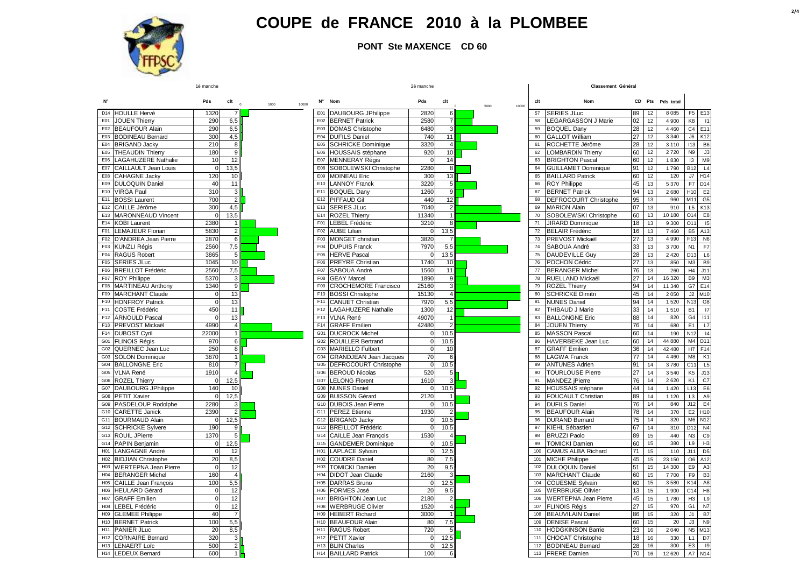

**PONT Ste MAXENCE CD 60**

#### **Classement Général**

 $\mathbf{L}$ 

|                 |                                            | Pds              | clt<br>$\sim$             | 5000 | 10000 | N°              | Nom                                       | Pds          | clt            | 5000 | 10000 | clt      | Nom                                            |          |          | CD Pts Pds total |                      |                       |
|-----------------|--------------------------------------------|------------------|---------------------------|------|-------|-----------------|-------------------------------------------|--------------|----------------|------|-------|----------|------------------------------------------------|----------|----------|------------------|----------------------|-----------------------|
| D14             | <b>HOULLE Hervé</b>                        | 1320             | $\overline{7}$            |      |       |                 | E01 DAUBOURG JPhilippe                    | 2820         | 6              |      |       | 57       | <b>SERIES JLuc</b>                             | 89       | 12       | 8 0 8 5          | F5 E13               |                       |
| E01             | <b>JOUEN Thierry</b>                       | 290              | 6,5                       |      |       | E02             | <b>BERNET Patrick</b>                     | 2580         | $\overline{7}$ |      |       | 58       | <b>LEGARGASSON J Marie</b>                     | 02       | 12       | 4 9 0 0          | K8                   | $\overline{11}$       |
| F <sub>02</sub> | <b>BEAUFOUR Alain</b>                      | 290              | 6,5                       |      |       | E03             | <b>DOMAS Christophe</b>                   | 6480         | 3              |      |       | 59       | <b>BOQUEL Dany</b>                             | 28       | 12       | 4 4 6 0          | C <sub>4</sub>       | E11                   |
| E03             | <b>BODINEAU Bernard</b>                    | 300              | 4,5                       |      |       | E04             | <b>DUFILS Daniel</b>                      | 740          | 11             |      |       | 60       | <b>GALLOT William</b>                          | 27       | 12       | 3 3 4 0          | J6                   | K12                   |
|                 | E04 BRIGAND Jacky                          | 210              | $\mathbf{8}$              |      |       | E05             | <b>SCHRICKE Dominique</b>                 | 3320         | $\overline{4}$ |      |       | 61       | ROCHETTE Jérôme                                | 28       | 12       | 3 1 1 0          | 113                  | B <sub>6</sub>        |
| E05             | <b>THEAUDIN Thierry</b>                    | 180              | 9                         |      |       | E06             | HOUSSAIS stéphane                         | 920          | 10             |      |       | 62       | <b>LOMBARDIN Thierry</b>                       | 60       | 12       | 2720             | N <sub>9</sub>       | J3                    |
|                 | E06   LAGAHUZERE Nathalie                  | 10               | 12                        |      |       |                 | E07 MENNERAY Régis                        | $\mathbf 0$  | 14             |      |       | 63       | <b>BRIGHTON Pascal</b>                         | 60       | 12       | 1830             | 13                   | M <sub>9</sub>        |
|                 | E07 CAILLAULT Jean Louis                   | $\Omega$         | 13,5                      |      |       | E08             | SOBOLEWSKI Christophe                     | 2280         | 8              |      |       | 64       | <b>GUILLAMET Dominique</b>                     | 91       | 12       | 1790             | <b>B12</b>           | L4                    |
|                 | E08 CAHAGNE Jacky                          | 120              | 10                        |      |       | E09             | <b>MOINEAU Eric</b>                       | 300          | 13             |      |       | 65       | <b>BAILLARD Patrick</b>                        | 60       | 12       | 120              | J7                   | H <sub>14</sub>       |
| E09             | <b>DULOQUIN Daniel</b>                     | 40               | 11                        |      |       | E10             | <b>LANNOY Franck</b>                      | 3220         | 5              |      |       | 66       | <b>ROY Philippe</b>                            | 45       | 13       | 5 3 7 0          | F7                   | D <sub>14</sub>       |
|                 | E10 VIRGA Paul                             | 310              | $\ensuremath{\mathsf{3}}$ |      |       | E11             | <b>BOQUEL Dany</b>                        | 1260         | 9              |      |       | 67       | <b>BERNET Patrick</b>                          | 94       | 13       | 2680             | H10                  | E <sub>2</sub>        |
|                 | E11 BOSSI Laurent                          | 700              | $\overline{2}$            |      |       | E12             | <b>PIFFAUD Gil</b>                        | 440          | 12             |      |       | 68       | DEFROCOURT Christophe                          | 95       | 13       | 960              | M11                  | G <sub>5</sub>        |
| E <sub>12</sub> | <b>CAILLE Jérôme</b>                       | 300              | 4,5                       |      |       | E13             | <b>SERIES JLuc</b>                        | 7040         | $\overline{2}$ |      |       | 69       | <b>MARION Alain</b>                            | 07       | 13       | 910              | L5                   | K <sub>13</sub>       |
| E13             | <b>MARONNEAUD Vincent</b>                  |                  | 13,5                      |      |       | E14             | <b>ROZEL Thierry</b>                      | 11340        |                |      |       | 70       | SOBOLEWSKI Christophe                          | 60       | 13       | 10 180           | 014                  | E <sub>8</sub>        |
|                 | E14 KOBI Laurent                           | 2380             | 1                         |      |       | F01             | <b>LEBEL Frédéric</b>                     | 3210         | 8              |      |       | 71       | <b>JIRARD Dominique</b>                        | 18       | 13       | 9 3 0 0          | O11                  | 15                    |
|                 | F01 LEMAJEUR Florian                       | 5830             | $\overline{\mathbf{c}}$   |      |       | F02             | <b>AUBE Lilian</b>                        | $\mathbf 0$  | 13,5           |      |       | 72       | <b>BELAIR Frédéric</b>                         | 16       | 13       | 7 4 6 0          | <b>B5</b>            | A13                   |
|                 | F02 D'ANDREA Jean Pierre                   | 2870             | 6                         |      |       | F03             | <b>MONGET</b> christian                   | 3820         |                |      |       | 73       | PREVOST Mickaël                                | 27       | 13       | 4 9 9 0          | F <sub>13</sub>      | N <sub>6</sub>        |
|                 | F03 KUNZLI Régis                           | 2560             | 7,5                       |      |       | F04             | <b>DUPUIS Franck</b>                      | 7970         | 5,5            |      |       | 74       | SABOUA André                                   | 33       | 13       | 3700             | N <sub>1</sub>       | F7                    |
|                 | F04 RAGUS Robert                           | 3865             | 5                         |      |       | F <sub>05</sub> | <b>HERVE Pascal</b>                       | $\Omega$     | 13,5           |      |       | 75       | <b>DAUDEVILLE Guy</b>                          | 28       | 13       | 2 4 2 0          | D <sub>13</sub>      | L6                    |
| F05             | <b>SERIES JLuc</b>                         | 1045             | 10                        |      |       | F06             | <b>PREYRE Christian</b>                   | 1740         | 10             |      |       | 76       | POCHON Cédric                                  | 27       | 13       | 850              | M3                   | B <sub>S</sub>        |
| F06             | <b>BREILLOT Frédéric</b>                   | 2560             | 7,5                       |      |       | F07             | SABOUA André                              | 1560         | 11             |      |       | 77       | <b>BERANGER Michel</b>                         | 76       | 13       | 260              | H4                   | J11                   |
|                 | F07 ROY Philippe                           | 5370             | 3                         |      |       | F08             | <b>GEAY Marcel</b>                        | 1890         | 9              |      |       | 78       | RUELLAND Mickaël                               | 27       | 14       | 16 320           | B <sub>9</sub>       | M3                    |
| F08             | MARTINEAU Anthony                          | 1340             | $\overline{9}$            |      |       | F09             | <b>CROCHEMORE Francisco</b>               | 25160        | 3              |      |       | 79       | <b>ROZEL Thierry</b>                           | 94       | 14       | 11 340           | G7                   | E <sub>14</sub>       |
|                 | F09 MARCHANT Claude                        | $\Omega$         | 13                        |      |       | F10             | <b>BOSSI Christophe</b>                   | 15130        | $\overline{4}$ |      |       | 80       | <b>SCHRICKE Dimitri</b>                        | 45       | 14       | 2 0 5 0          | J2                   | M10                   |
|                 | F10 HONFROY Patrick                        | $\Omega$         | 13                        |      |       | F11             | <b>CANUET Christian</b>                   | 7970         | 5,5            |      |       | 81       | <b>NUNES Daniel</b>                            | 94       | 14       | 1 5 2 0          | N <sub>13</sub>      | G <sub>8</sub>        |
|                 | F11 COSTE Frédéric                         | 450              | 11                        |      |       | F <sub>12</sub> | <b>LAGAHUZERE Nathalie</b>                | 1300         | 12             |      |       | 82       | THIBAUD J Marie                                | 33       | 14       | 1510             | <b>B1</b>            | $\overline{17}$       |
|                 | F12 ARNOULD Pascal                         |                  | 13                        |      |       | F13             | <b>VLNA René</b>                          | 49070        |                |      |       | 83       | <b>BALLONGNE Eric</b>                          | 88       | 14       | 820              | G <sub>4</sub>       | 111                   |
|                 | F13 PREVOST Mickaël                        | 4990             | $\overline{4}$            |      |       | F14             | <b>GRAFF Emilien</b>                      | 42480        | $\overline{2}$ |      |       | 84       | <b>JOUEN Thierry</b>                           | 76       | 14       | 680              | E1                   | L7                    |
|                 | F14 DUBOST Cyril                           | 22000            | $\overline{1}$            |      |       | G01             | <b>DUCROCK Michel</b>                     | $\mathbf 0$  | 10,5           |      |       | 85       | <b>MASSON Pascal</b>                           | 60       | 14       | 190              | N <sub>12</sub>      | 4                     |
|                 | G01 FLINOIS Régis                          | 970              | 6                         |      |       | G02             | <b>ROUILLER Bertrand</b>                  | $\mathbf 0$  | 10,5           |      |       | 86       | HAVERBEKE Jean Luc                             | 60       | 14       | 44 880           | M <sub>4</sub>       | O <sub>11</sub>       |
|                 | G02 QUERNEC Jean Luc                       | 250              | 8<br>$\overline{1}$       |      |       | G03             | <b>MARIELLO Fulbert</b>                   | $\mathbf 0$  | 10             |      |       | 87       | <b>GRAFF</b> Emilien                           | 36       | 14       | 42 480           | H7                   | F <sub>14</sub>       |
|                 | G03 SOLON Dominique                        | 3870             |                           |      |       | G04             | <b>GRANDJEAN Jean Jacques</b>             | 70           | 6              |      |       | 88       | <b>LAGWA Franck</b>                            | 77       | 14       | 4 4 6 0          | M <sub>8</sub>       | K <sub>1</sub>        |
|                 | <b>G04 BALLONGNE Eric</b>                  | 810              | $\overline{7}$            |      |       | G05<br>G06      | DEFROCOURT Christophe                     | $\mathbf{0}$ | 10,5           |      |       | 89<br>90 | <b>ANTUNES Adrien</b>                          | 91       | 14       | 3780             | C <sub>11</sub>      | L <sub>5</sub>        |
|                 | G05 VLNA René<br>G06 ROZEL Thierry         | 1910<br>$\Omega$ |                           |      |       |                 | <b>BEROUD Nicolas</b>                     | 520<br>1610  |                |      |       | 91       | <b>TOURLOUSE Pierre</b><br>MANDEZ jPierre      | 27<br>76 | 14<br>14 | 3540<br>2 6 2 0  | K <sub>5</sub><br>K1 | J13<br>C <sub>7</sub> |
|                 |                                            | 140              | 12,5                      |      |       | G <sub>08</sub> | G07 LELONG Florent<br><b>NUNES Daniel</b> | $\Omega$     | 10,5           |      |       | 92       |                                                | 44       | 14       | 1 4 2 0          | L <sub>13</sub>      | E <sub>6</sub>        |
|                 | G07 DAUBOURG JPhilippe<br>G08 PETIT Xavier |                  | 10                        |      |       | G09             | <b>BUISSON Gérard</b>                     | 2120         |                |      |       | 93       | HOUSSAIS stéphane<br><b>FOUCAULT Christian</b> | 89       | 14       | 1 1 2 0          | L <sub>3</sub>       | A9                    |
| G09             | PASDELOUP Rodolphe                         | 2280             | 12,5                      |      |       | G <sub>10</sub> | <b>DUBOIS Jean Pierre</b>                 | $\mathbf 0$  | 10,5           |      |       | 94       | <b>DUFILS Daniel</b>                           | 76       | 14       | 840              | J12                  | E <sub>4</sub>        |
|                 | G10 CARETTE Janick                         | 2390             | $\overline{2}$            |      |       | G11             | <b>PEREZ Etienne</b>                      | 1930         |                |      |       | 95       | <b>BEAUFOUR Alain</b>                          | 78       | 14       | 370              | E <sub>2</sub>       | H <sub>10</sub>       |
|                 | G11 BOURMAUD Alain                         |                  | 12,5                      |      |       | G12             | <b>BRIGAND Jacky</b>                      | $\Omega$     | 10,5           |      |       | 96       | <b>DURAND Bernard</b>                          | 75       | 14       | 320              | M <sub>6</sub>       | N <sub>12</sub>       |
|                 | G12 SCHRICKE Sylvere                       | 190              | 9                         |      |       | G13             | <b>BREILLOT Frédéric</b>                  | $\mathbf{0}$ | 10,5           |      |       | 97       | KIEHL Sébastien                                | 67       | 14       | 310              | D <sub>12</sub>      | N <sub>4</sub>        |
|                 | G13 ROUIL JPierre                          | 1370             | 5                         |      |       | G14             | <b>CAILLE Jean François</b>               | 1530         |                |      |       | 98       | <b>BRUZZI Paolo</b>                            | 89       | 15       | 440              | N3                   | Cg                    |
|                 | G14 PAPIN Benjamin                         | $\Omega$         | 12,5                      |      |       | G15             | <b>GANDEMER Dominique</b>                 | $\mathbf{0}$ | 10,5           |      |       | 99       | <b>TOMICKI Damien</b>                          | 60       | 15       | 380              | L9                   | H <sub>3</sub>        |
|                 | H01 LANGAGNE André                         | $\Omega$         | 12                        |      |       | H <sub>01</sub> | <b>LAPLACE Sylvain</b>                    | $\mathbf{0}$ | 12,5           |      |       | 100      | <b>CAMUS ALBA Richard</b>                      | 71       | 15       | 110              | J11                  | D <sub>5</sub>        |
|                 | H02 BIDJIAN Christophe                     | 20               | 8,5                       |      |       | H <sub>02</sub> | <b>COUDRE Daniel</b>                      | 80           | 7,5            |      |       | 101      | <b>MICHE Philippe</b>                          | 45       | 15       | 23 150           | O <sub>6</sub>       | A12                   |
|                 | H03 WERTEPNA Jean Pierre                   | $\Omega$         | 12                        |      |       | H <sub>03</sub> | <b>TOMICKI Damien</b>                     | 20           | 9,5            |      |       | 102      | <b>DULOQUIN Daniel</b>                         | 51       | 15       | 14 300           | E9                   | A <sub>3</sub>        |
|                 | H04 BERANGER Michel                        | 160              | $\overline{4}$            |      |       | H <sub>04</sub> | <b>DIDOT Jean Claude</b>                  | 2160         |                |      |       | 103      | <b>MARCHANT Claude</b>                         | 60       | 15       | 7700             | F9                   | B <sub>3</sub>        |
| H05             | CAILLE Jean François                       | 100              | 5,5                       |      |       | <b>HO5</b>      | <b>DARRAS Bruno</b>                       | $\mathbf 0$  | 12,5           |      |       | 104      | <b>COUESME Sylvain</b>                         | 60       | 15       | 3 5 8 0          | K14                  | A8                    |
|                 | H06 HEULARD Gérard                         | $\Omega$         | 12                        |      |       | H06             | <b>FORMES José</b>                        | 20           | 9,5            |      |       | 105      | <b>WERBRUGE Olivier</b>                        | 13       | 15       | 1 900            | C <sub>14</sub>      | H <sub>8</sub>        |
| <b>H07</b>      | <b>GRAFF Emilien</b>                       | $\Omega$         | 12                        |      |       | <b>H07</b>      | <b>BRIGHTON Jean Luc</b>                  | 2180         | $\overline{2}$ |      |       | 106      | <b>WERTEPNA Jean Pierre</b>                    | 45       | 15       | 1780             | H <sub>3</sub>       | L9                    |
| H08             | <b>LEBEL Frédéric</b>                      | $\Omega$         | 12                        |      |       | <b>H08</b>      | <b>WERBRUGE Olivier</b>                   | 1520         | $\overline{4}$ |      |       | 107      | <b>FLINOIS Régis</b>                           | 27       | 15       | 970              | G <sub>1</sub>       | N7                    |
| H <sub>09</sub> | <b>GLEMEE Philippe</b>                     | 40               |                           |      |       | H <sub>09</sub> | <b>HEBERT Richard</b>                     | 3000         |                |      |       | 108      | <b>BEAUVILAIN Daniel</b>                       | 86       | 15       | 320              | J1                   | <b>B7</b>             |
| H <sub>10</sub> | <b>BERNET Patrick</b>                      | 100              | 5,5                       |      |       | H <sub>10</sub> | <b>BEAUFOUR Alain</b>                     | 80           | 7,5            |      |       | 109      | <b>DENISE Pascal</b>                           | 60       | 15       | 20               | J3                   | N <sub>9</sub>        |
| H11             | <b>PANIER JLuc</b>                         | 20               | 8,5                       |      |       | H <sub>11</sub> | <b>RAGUS Robert</b>                       | 720          |                |      |       | 110      | <b>HODGKINSON Barrie</b>                       | 23       | 16       | 2 0 4 0          | N <sub>5</sub>       | M13                   |
| H12             | <b>CORNAIRE Bernard</b>                    | 320              | $\mathbf{3}$              |      |       | H <sub>12</sub> | <b>PETIT Xavier</b>                       | $\mathbf 0$  | 12,5           |      |       | 111      | <b>CHOCAT Christophe</b>                       | 18       | 16       | 330              | L1                   | D7                    |
|                 | H13 LENAERT Loïc                           | 500              | $\overline{2}$            |      |       |                 | H13 BLIN Charles                          | $\mathbf 0$  | 12,5           |      |       |          | 112 BODINEAU Bernard                           | 28       | 16       | 300              | E <sub>3</sub>       | Ig                    |
|                 | H14 LEDEUX Bernard                         | 600              | $\overline{1}$            |      |       |                 | H14 BAILLARD Patrick                      | 100          |                |      |       |          | 113 FRERE Damien                               | 70       | 16       | 12 6 20          | A7                   | N <sub>14</sub>       |

1è manche 2è manche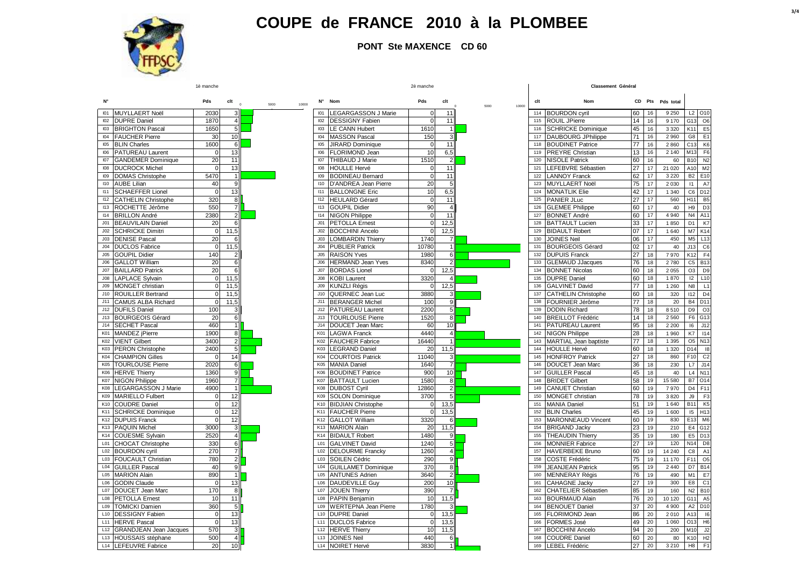

**PONT Ste MAXENCE CD 60**

| N°              |                                               | Pds          | $clt$ $_0$          | 5000<br>10000 |                  | N° Nom                                         | Pds             | clt                   | 5000<br>10000 | clt        | Nom                                             |          |                 | CD Pts Pds total |                       |                              |
|-----------------|-----------------------------------------------|--------------|---------------------|---------------|------------------|------------------------------------------------|-----------------|-----------------------|---------------|------------|-------------------------------------------------|----------|-----------------|------------------|-----------------------|------------------------------|
| 101             | MUYLLAERT Noël                                | 2030         | $\sqrt{3}$          |               | I <sub>01</sub>  | <b>LEGARGASSON J Marie</b>                     | $\Omega$        | 11                    |               | 114        | <b>BOURDON cyril</b>                            | 60       | 16              | 9 2 5 0          |                       | L2 010                       |
| 102             | <b>DUPRE Daniel</b>                           | 1870         | $\overline{4}$      |               | 102              | <b>DESSIGNY Fabien</b>                         | $\Omega$        | 11                    |               |            | 115 ROUIL JPierre                               | 14       | 16              | 9 170            | G13                   | O <sub>6</sub>               |
| 103             | <b>BRIGHTON Pascal</b>                        | 1650         | 5                   |               | 103              | <b>LE CANN Hubert</b>                          | 1610            |                       |               | 116        | <b>SCHRICKE Dominique</b>                       | 45       | 16              | 3 3 2 0          | K11                   | E <sub>5</sub>               |
| 104             | <b>FAUCHER Pierre</b>                         | 30           | 10                  |               | 104              | <b>MASSON Pascal</b>                           | 150             | p                     |               | 117        | <b>DAUBOURG JPhilippe</b>                       | 71       | 16              | 2 9 6 0          | G8                    | E <sub>1</sub>               |
| 105             | <b>BLIN Charles</b>                           | 1600         | 6                   |               | 105              | <b>JIRARD Dominique</b>                        |                 | 11                    |               | 118        | <b>BOUDINET Patrice</b>                         | 77       | 16              | 2860             | C13                   | K <sub>6</sub>               |
| 106             | <b>PATUREAU Laurent</b>                       | $\mathbf 0$  | 13                  |               | 106              | FLORIMOND Jean                                 | 10              | 6,5                   |               | 119        | <b>PREYRE Christian</b>                         | 13       | 16              | 2 1 4 0          | M13                   | F <sub>6</sub>               |
| 107             | <b>GANDEMER Dominique</b>                     | 20           | 11                  |               | 107              | THIBAUD J Marie                                | 1510            | $\mathfrak{p}$        |               | 120        | <b>NISOLE Patrick</b>                           | 60       | 16              | 60               | <b>B10</b>            | N <sub>2</sub>               |
| 108             | <b>DUCROCK Michel</b>                         | $\Omega$     | 13                  |               | 108              | <b>HOULLE Hervé</b>                            | $\Omega$        | 11                    |               | 121        | LEFEBVRE Sébastien                              | 27       | 17              | 21 0 20          | A10                   | M <sub>2</sub>               |
| 109             | <b>DOMAS Christophe</b>                       | 5470         | $\overline{1}$      |               | 109              | <b>BODINEAU Bernard</b>                        | $\Omega$        | 11                    |               | 122        | <b>LANNOY Franck</b>                            | 62       | 17              | 3 2 2 0          | <b>B2</b>             | E10                          |
| 110             | <b>AUBE Lilian</b>                            | 40           | $\overline{9}$      |               | 110              | D'ANDREA Jean Pierre                           | $\overline{20}$ |                       |               |            | 123 MUYLLAERT Noël                              | 75       | 17              | 2 0 3 0          | 11                    | A7                           |
| 111             | <b>SCHAEFFER Lionel</b>                       | $\Omega$     | 13                  |               | 111              | <b>BALLONGNE Eric</b>                          | 10              | 6,5                   |               | 124        | <b>MONATLIK Elie</b>                            | 42       | 17              | 1 3 4 0          | C6                    | D <sub>12</sub>              |
| 112             | <b>CATHELIN Christophe</b>                    | 320          | 8                   |               | 112              | <b>HEULARD Gérard</b>                          | $\Omega$        | 11                    |               | 125        | PANIER JLuc                                     | 27       | 17              | 560              | H <sub>11</sub>       | B <sub>5</sub>               |
| 113             | ROCHETTE Jérôme                               | 550          | $\overline{7}$      |               | 113              | <b>GOUPIL Didier</b>                           | 90              |                       |               | 126        | <b>GLEMEE Philippe</b>                          | 60       | 17              | 40               | H <sub>9</sub>        | D <sub>3</sub>               |
| 114             | <b>BRILLON André</b>                          | 2380         | $\overline{2}$      |               | 114              | <b>NIGON Philippe</b>                          |                 | 11                    |               | 127        | <b>BONNET André</b>                             | 60       | 17              | 4 9 4 0          | N <sub>4</sub>        | A11                          |
| J <sub>01</sub> | <b>BEAUVILAIN Daniel</b>                      | 20           | 6                   |               | J <sub>01</sub>  | <b>PETOLLA Ernest</b>                          | $\Omega$        | 12,5                  |               | 128        | <b>BATTAULT Lucien</b>                          | 33       | 17              | 1850             | D <sub>1</sub>        | K7                           |
| J <sub>02</sub> | <b>SCHRICKE Dimitri</b>                       | $\Omega$     | 11,5                |               | J <sub>02</sub>  | <b>BOCCHINI Ancelo</b>                         | $\Omega$        | 12,5                  |               | 129        | <b>BIDAULT Robert</b>                           | 07       | 17              | 1 640            | M7                    | K14                          |
| J03             | <b>DENISE Pascal</b>                          | 20           | 6                   |               | J03              | <b>LOMBARDIN Thierry</b>                       | 1740            |                       |               | 130        | <b>JOINES Neil</b>                              |          | 17              | 450              | M <sub>5</sub>        | L13                          |
| J04             | <b>DUCLOS Fabrice</b>                         | $\Omega$     |                     |               | J <sub>04</sub>  | <b>PUBLIER Patrick</b>                         | 10780           |                       |               | 131        | <b>BOURGEOIS Gérard</b>                         | 06<br>02 | 17              | 40               | J13                   | C6                           |
| J05             |                                               |              | 11,5                |               | J05              |                                                |                 | 6                     |               |            |                                                 | 27       |                 |                  |                       |                              |
| J06             | <b>GOUPIL Didier</b><br><b>GALLOT William</b> | 140<br>20    | $\overline{2}$<br>6 |               | J06              | <b>RAISON Yves</b><br><b>HERMAND Jean Yves</b> | 1980<br>8340    | $\overline{2}$        |               | 132<br>133 | <b>DUPUIS Franck</b><br><b>GLEMAUD JJacques</b> | 76       | 18              | 7970<br>2780     | K12<br>C <sub>5</sub> | F <sub>4</sub><br><b>B13</b> |
| J07             |                                               | 20           |                     |               |                  |                                                |                 |                       |               | 134        |                                                 |          | 18              |                  | O <sub>3</sub>        | D <sub>9</sub>               |
|                 | <b>BAILLARD Patrick</b>                       |              |                     |               | J07              | <b>BORDAS Lionel</b>                           |                 | 12,5                  |               |            | <b>BONNET Nicolas</b>                           | 60       | 18              | 2 0 5 5          |                       |                              |
| J08             | <b>LAPLACE Sylvain</b>                        | $\mathbf{0}$ | 11,5                |               | 300 <sub>o</sub> | <b>KOBI Laurent</b>                            | 3320            |                       |               | 135        | <b>DUPRE Daniel</b>                             | 60       | 18              | 1870             | 12                    | L10                          |
| J09             | <b>MONGET christian</b>                       |              | 11.5                |               | J09              | <b>KUNZLI Régis</b>                            |                 | 12,5                  |               | 136        | <b>GALVINET David</b>                           | 77       | 18              | 1 2 6 0          | N <sub>8</sub>        | L1                           |
| J10             | <b>ROUILLER Bertrand</b>                      | $\Omega$     | 11,5                |               | J10              | QUERNEC Jean Luc                               | 3880            | 3                     |               | 137        | <b>CATHELIN Christophe</b>                      | 60       | 18              | 320              | 112                   | D <sub>4</sub>               |
| J11             | <b>CAMUS ALBA Richard</b>                     | $\Omega$     | 11,5                |               | J11              | <b>BERANGER Michel</b>                         | 100             | 9                     |               | 138        | FOURNIER Jérôme                                 | 77       | 18              | 20               | <b>B4</b>             | D <sub>11</sub>              |
| J12             | <b>DUFILS Daniel</b>                          | 100          |                     |               | J12              | <b>PATUREAU Laurent</b>                        | 2200            | 5                     |               | 139        | <b>DODIN Richard</b>                            | 78       | 18              | 8510             | D <sub>9</sub>        | O <sub>3</sub>               |
| J13             | <b>BOURGEOIS Gérard</b>                       | 20           | 6                   |               | J13              | <b>TOURLOUSE Pierre</b>                        | 1520            | 8                     |               | 140        | <b>BREILLOT Frédéric</b>                        | 14       | 18              | 2 5 6 0          | F <sub>6</sub>        | G13                          |
| J14             | <b>SECHET Pascal</b>                          | 460          |                     |               | J14              | DOUCET Jean Marc                               | 60              | 10                    |               | 141        | <b>PATUREAU Laurent</b>                         | 95       | 18              | 2 2 0 0          | 16                    | J12                          |
| K01             | <b>MANDEZ</b> jPierre                         | 1900         | $\overline{8}$      |               | K01              | <b>LAGWA Franck</b>                            | 4440            | $\boldsymbol{\Delta}$ |               | 142        | <b>NIGON Philippe</b>                           | 28       | 18              | 1 960            | K7                    | 114                          |
| K02             | <b>VIENT Gilbert</b>                          | 3400         | $\overline{2}$      |               | K02              | <b>FAUCHER Fabrice</b>                         | 16440           |                       |               | 143        | MARTIAL Jean baptiste                           | 77       | 18              | 1 3 9 5          | O <sub>5</sub>        | N <sub>13</sub>              |
| K03             | <b>PERON Christophe</b>                       | 2400         | 5                   |               | K03              | <b>LEGRAND Daniel</b>                          | 20              | 11,5                  |               | 144        | <b>HOULLE Hervé</b>                             | 60       | 18              | 1 3 2 0          | D <sub>14</sub>       | 18                           |
| K04             | <b>CHAMPION Gilles</b>                        |              | 14                  |               | K04              | <b>COURTOIS Patrick</b>                        | 11040           | 3                     |               | 145        | <b>HONFROY Patrick</b>                          | 27       | 18              | 860              | F10                   | C <sub>2</sub>               |
| K05             | <b>TOURLOUSE Pierre</b>                       | 2020         | 6                   |               | K05              | <b>MANIA Daniel</b>                            | 1640            | $\overline{7}$        |               | 146        | DOUCET Jean Marc                                | 36       | 18              | 230              | L7                    | J14                          |
| K06             | <b>HERVE Thierry</b>                          | 1360         | 9                   |               | K06              | <b>BOUDINET Patrice</b>                        | 900             | 10                    |               | 147        | <b>GUILLER Pascal</b>                           | 45       | 18              | 40               | L4                    | N <sub>1</sub>               |
| <b>K07</b>      | <b>NIGON Philippe</b>                         | 1960         | $\overline{7}$      |               | <b>K07</b>       | <b>BATTAULT Lucien</b>                         | 1580            | 8                     |               | 148        | <b>BRIDET Gilbert</b>                           | 58       | 19              | 15 580           | B7                    | O <sub>14</sub>              |
| K08             | <b>LEGARGASSON J Marie</b>                    | 4900         | $\overline{1}$      |               | K08              | <b>DUBOST Cyril</b>                            | 12860           | $\overline{2}$        |               | 149        | <b>CANUET Christian</b>                         | 60       | 19              | 7970             | D4                    | F <sub>11</sub>              |
| K09             | <b>MARIELLO Fulbert</b>                       |              | 12                  |               | K09              | <b>SOLON Dominique</b>                         | 3700            |                       |               | 150        | MONGET christian                                | 78       | 19              | 3820             | <b>J9</b>             | F3                           |
| K10             | <b>COUDRE Daniel</b>                          | $\Omega$     | 12                  |               | K10              | <b>BIDJIAN Christophe</b>                      | $\mathbf 0$     | 13,5                  |               | 151        | <b>MANIA Daniel</b>                             | 51       | 19              | 1 640            | B11                   | K <sub>5</sub>               |
| K11             | <b>SCHRICKE Dominique</b>                     |              | 12                  |               | K11              | <b>FAUCHER Pierre</b>                          | $\Omega$        | 13,5                  |               | 152        | <b>BLIN Charles</b>                             | 45       | 19              | 1 600            | 15                    | H <sub>13</sub>              |
| K12             | <b>DUPUIS Franck</b>                          | $\Omega$     | 12                  |               | K12              | <b>GALLOT William</b>                          | 3320            | 6                     |               | 153        | <b>MARONNEAUD Vincent</b>                       | 60       | 19              | 830              | E13                   | M <sub>6</sub>               |
| K13             | <b>PAQUIN Michel</b>                          | 3000         | 3                   |               | K13              | <b>MARION Alain</b>                            | 20              | 11,5                  |               | 154        | <b>BRIGAND Jacky</b>                            | 23       | 19              | 210              | E4                    | G12                          |
| K14             | <b>COUESME Sylvain</b>                        | 2520         | $\overline{4}$      |               | K14              | <b>BIDAULT Robert</b>                          | 1480            | 9                     |               | 155        | <b>THEAUDIN Thierry</b>                         | 35       | 19              | 180              | E <sub>5</sub>        | D <sub>13</sub>              |
| L01             | CHOCAT Christophe                             | 330          | 6                   |               | L01              | <b>GALVINET David</b>                          | 1240            | 5 <sub>1</sub>        |               | 156        | <b>MONNIER Fabrice</b>                          | 27       | 19              | 120              | N14                   | D <sub>8</sub>               |
| L02             | <b>BOURDON</b> cyril                          | 270          | 71                  |               | L02              | <b>DELOURME Francky</b>                        | 1260            | 4                     |               | 157        | <b>HAVERBEKE Bruno</b>                          | 60       | 19              | 14 240           | C8                    | A <sub>1</sub>               |
| L03             | <b>FOUCAULT Christian</b>                     | 780          | $\overline{2}$      |               | L03              | SOILEN Cédric                                  | 290             | 9l                    |               | 158        | <b>COSTE Frédéric</b>                           | 75       | 19              | 11 170           | F11                   | O <sub>5</sub>               |
| L <sub>04</sub> | <b>GUILLER Pascal</b>                         | 40           | 9                   |               | L04              | <b>GUILLAMET Dominique</b>                     | 370             | $\bf 8$               |               | 159        | <b>JEANJEAN Patrick</b>                         | 95       | 19              | 2 4 4 0          | D7                    | <b>B14</b>                   |
| L05             | <b>MARION Alain</b>                           | 890          | $\overline{1}$      |               | L05              | <b>ANTUNES Adrien</b>                          | 3640            | $\overline{2}$        |               | 160        | <b>MENNERAY Régis</b>                           | 76       | 19              | 490              | M1                    | E7                           |
| L06             | <b>GODIN Claude</b>                           |              | 13                  |               | L06              | <b>DAUDEVILLE Guy</b>                          | 200             | 10                    |               | 161        | <b>CAHAGNE Jacky</b>                            | 27       | 19              | 300              | E8                    | C <sub>1</sub>               |
| L07             | DOUCET Jean Marc                              | 170          | 8                   |               | L07              | <b>JOUEN Thierry</b>                           | 390             | $\overline{7}$        |               | 162        | CHATELIER Sébastien                             | 85       | 19              | 160              | N <sub>2</sub>        | <b>B10</b>                   |
| L08             | <b>PETOLLA Ernest</b>                         | 10           | 11                  |               | L08              | PAPIN Benjamin                                 | 10              | 11,5                  |               | 163        | <b>BOURMAUD Alain</b>                           | 76       | 20              | 10 120           | G11                   | A <sub>5</sub>               |
| L09             | <b>TOMICKI Damien</b>                         | 360          | 5                   |               | L09              | <b>WERTEPNA Jean Pierre</b>                    | 1780            |                       |               | 164        | <b>BENOUET Daniel</b>                           | 37       | 20              | 4 9 0 0          | A <sub>2</sub>        | D <sub>10</sub>              |
| L10             | <b>DESSIGNY Fabien</b>                        | $\Omega$     | 13                  |               | L <sub>10</sub>  | <b>DUPRE Daniel</b>                            | $\mathbf 0$     | 13,5                  |               | 165        | FLORIMOND Jean                                  | 86       | 20              | 2 0 1 0          | A13                   | 16                           |
| L11             | <b>HERVE Pascal</b>                           |              | 13                  |               | L11              | <b>DUCLOS Fabrice</b>                          | $\Omega$        | 13,5                  |               | 166        | <b>FORMES José</b>                              | 49       | $\overline{20}$ | 1 0 6 0          | O13                   | H <sub>6</sub>               |
| L12             | <b>GRANDJEAN Jean Jacques</b>                 | 570          | 3                   |               | L12              | <b>HERVE Thierry</b>                           | 10              | 11,5                  |               | 167        | <b>BOCCHINI Ancelo</b>                          | 94       | 20              | 200              | M <sub>10</sub>       | J2                           |
|                 | L13 HOUSSAIS stéphane                         | 500          | $\overline{4}$      |               | L <sub>13</sub>  | <b>JOINES Neil</b>                             | 440             | 6                     |               | 168        | <b>COUDRE Daniel</b>                            | 60       | 20              | 80               | K10                   | H <sub>2</sub>               |
|                 | L14 LEFEUVRE Fabrice                          | 20           | 10                  |               |                  | L14 NOIRET Hervé                               | 3830            | $\overline{1}$        |               |            | 169 LEBEL Frédéric                              | 27       | 20              | 3 2 1 0          | H8                    | F <sub>1</sub>               |
|                 |                                               |              |                     |               |                  |                                                |                 |                       |               |            |                                                 |          |                 |                  |                       |                              |

1è manche 2è manche

**Classement Général**

 $\mathbf{L}$